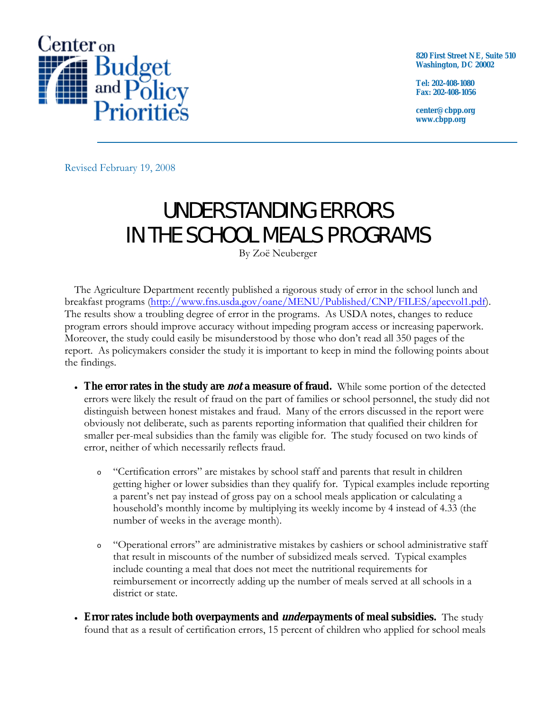

**820 First Street NE, Suite 510 Washington, DC 20002** 

**Tel: 202-408-1080 Fax: 202-408-1056** 

**center@cbpp.org www.cbpp.org** 

Revised February 19, 2008

## UNDERSTANDING ERRORS IN THE SCHOOL MEALS PROGRAMS

By Zoё Neuberger

 The Agriculture Department recently published a rigorous study of error in the school lunch and breakfast programs (http://www.fns.usda.gov/oane/MENU/Published/CNP/FILES/apecvol1.pdf). The results show a troubling degree of error in the programs. As USDA notes, changes to reduce program errors should improve accuracy without impeding program access or increasing paperwork. Moreover, the study could easily be misunderstood by those who don't read all 350 pages of the report. As policymakers consider the study it is important to keep in mind the following points about the findings.

- **The error rates in the study are not a measure of fraud.** While some portion of the detected errors were likely the result of fraud on the part of families or school personnel, the study did not distinguish between honest mistakes and fraud. Many of the errors discussed in the report were obviously not deliberate, such as parents reporting information that qualified their children for smaller per-meal subsidies than the family was eligible for. The study focused on two kinds of error, neither of which necessarily reflects fraud.
	- <sup>o</sup> "Certification errors" are mistakes by school staff and parents that result in children getting higher or lower subsidies than they qualify for. Typical examples include reporting a parent's net pay instead of gross pay on a school meals application or calculating a household's monthly income by multiplying its weekly income by 4 instead of 4.33 (the number of weeks in the average month).
	- <sup>o</sup> "Operational errors" are administrative mistakes by cashiers or school administrative staff that result in miscounts of the number of subsidized meals served. Typical examples include counting a meal that does not meet the nutritional requirements for reimbursement or incorrectly adding up the number of meals served at all schools in a district or state.
- **Error rates include both overpayments and underpayments of meal subsidies.** The study found that as a result of certification errors, 15 percent of children who applied for school meals